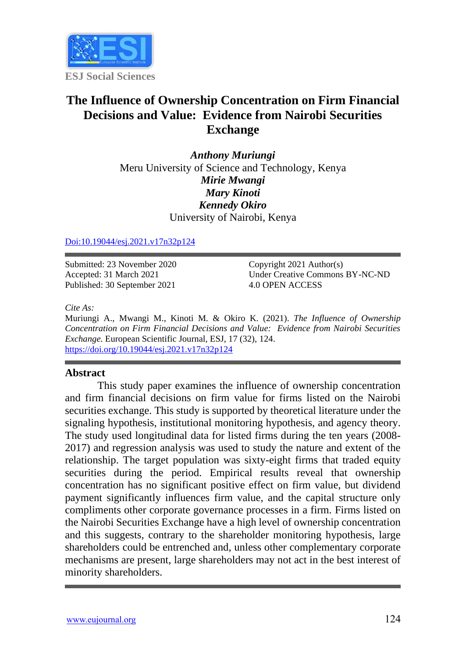

# **The Influence of Ownership Concentration on Firm Financial Decisions and Value: Evidence from Nairobi Securities Exchange**

*Anthony Muriungi* Meru University of Science and Technology, Kenya *Mirie Mwangi Mary Kinoti Kennedy Okiro* University of Nairobi, Kenya

#### [Doi:10.19044/esj.2021.v17n32p124](https://doi.org/10.19044/esj.2021.v17n32p124)

Submitted: 23 November 2020 Accepted: 31 March 2021 Published: 30 September 2021

Copyright 2021 Author(s) Under Creative Commons BY-NC-ND 4.0 OPEN ACCESS

*Cite As:*

Muriungi A., Mwangi M., Kinoti M. & Okiro K. (2021). *The Influence of Ownership Concentration on Firm Financial Decisions and Value: Evidence from Nairobi Securities Exchange.* European Scientific Journal, ESJ, 17 (32), 124. <https://doi.org/10.19044/esj.2021.v17n32p124>

#### **Abstract**

This study paper examines the influence of ownership concentration and firm financial decisions on firm value for firms listed on the Nairobi securities exchange. This study is supported by theoretical literature under the signaling hypothesis, institutional monitoring hypothesis, and agency theory. The study used longitudinal data for listed firms during the ten years (2008- 2017) and regression analysis was used to study the nature and extent of the relationship. The target population was sixty-eight firms that traded equity securities during the period. Empirical results reveal that ownership concentration has no significant positive effect on firm value, but dividend payment significantly influences firm value, and the capital structure only compliments other corporate governance processes in a firm. Firms listed on the Nairobi Securities Exchange have a high level of ownership concentration and this suggests, contrary to the shareholder monitoring hypothesis, large shareholders could be entrenched and, unless other complementary corporate mechanisms are present, large shareholders may not act in the best interest of minority shareholders.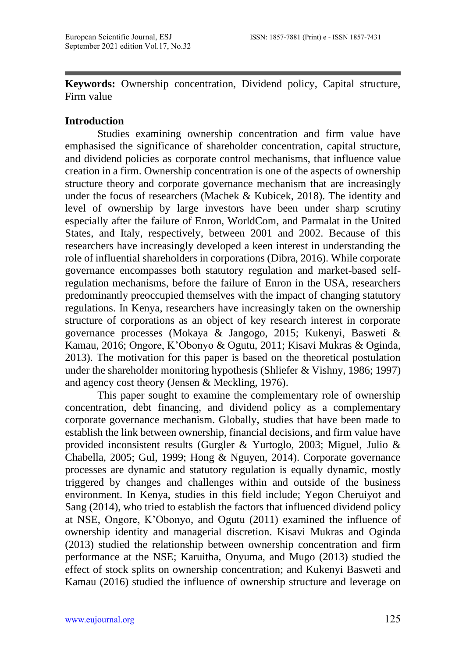**Keywords:** Ownership concentration, Dividend policy, Capital structure, Firm value

### **Introduction**

Studies examining ownership concentration and firm value have emphasised the significance of shareholder concentration, capital structure, and dividend policies as corporate control mechanisms, that influence value creation in a firm. Ownership concentration is one of the aspects of ownership structure theory and corporate governance mechanism that are increasingly under the focus of researchers (Machek & Kubicek, 2018). The identity and level of ownership by large investors have been under sharp scrutiny especially after the failure of Enron, WorldCom, and Parmalat in the United States, and Italy, respectively, between 2001 and 2002. Because of this researchers have increasingly developed a keen interest in understanding the role of influential shareholders in corporations (Dibra, 2016). While corporate governance encompasses both statutory regulation and market-based selfregulation mechanisms, before the failure of Enron in the USA, researchers predominantly preoccupied themselves with the impact of changing statutory regulations. In Kenya, researchers have increasingly taken on the ownership structure of corporations as an object of key research interest in corporate governance processes (Mokaya & Jangogo, 2015; Kukenyi, Basweti & Kamau, 2016; Ongore, K'Obonyo & Ogutu, 2011; Kisavi Mukras & Oginda, 2013). The motivation for this paper is based on the theoretical postulation under the shareholder monitoring hypothesis (Shliefer & Vishny, 1986; 1997) and agency cost theory (Jensen & Meckling, 1976).

This paper sought to examine the complementary role of ownership concentration, debt financing, and dividend policy as a complementary corporate governance mechanism. Globally, studies that have been made to establish the link between ownership, financial decisions, and firm value have provided inconsistent results (Gurgler & Yurtoglo, 2003; Miguel, Julio & Chabella, 2005; Gul, 1999; Hong & Nguyen, 2014). Corporate governance processes are dynamic and statutory regulation is equally dynamic, mostly triggered by changes and challenges within and outside of the business environment. In Kenya, studies in this field include; Yegon Cheruiyot and Sang (2014), who tried to establish the factors that influenced dividend policy at NSE, Ongore, K'Obonyo, and Ogutu (2011) examined the influence of ownership identity and managerial discretion. Kisavi Mukras and Oginda (2013) studied the relationship between ownership concentration and firm performance at the NSE; Karuitha, Onyuma, and Mugo (2013) studied the effect of stock splits on ownership concentration; and Kukenyi Basweti and Kamau (2016) studied the influence of ownership structure and leverage on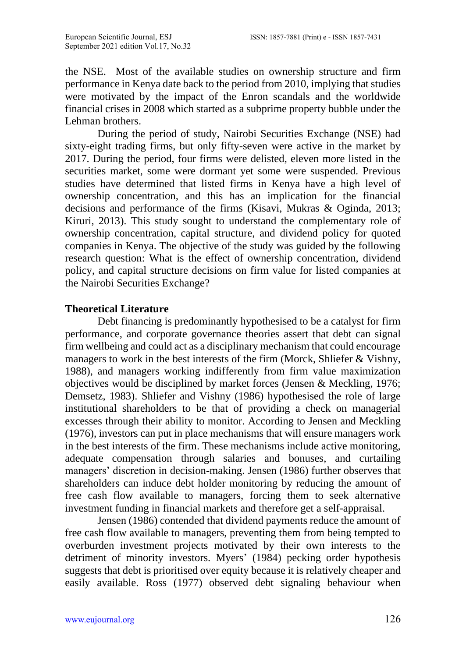the NSE. Most of the available studies on ownership structure and firm performance in Kenya date back to the period from 2010, implying that studies were motivated by the impact of the Enron scandals and the worldwide financial crises in 2008 which started as a subprime property bubble under the Lehman brothers.

During the period of study, Nairobi Securities Exchange (NSE) had sixty-eight trading firms, but only fifty-seven were active in the market by 2017. During the period, four firms were delisted, eleven more listed in the securities market, some were dormant yet some were suspended. Previous studies have determined that listed firms in Kenya have a high level of ownership concentration, and this has an implication for the financial decisions and performance of the firms (Kisavi, Mukras & Oginda, 2013; Kiruri, 2013). This study sought to understand the complementary role of ownership concentration, capital structure, and dividend policy for quoted companies in Kenya. The objective of the study was guided by the following research question: What is the effect of ownership concentration, dividend policy, and capital structure decisions on firm value for listed companies at the Nairobi Securities Exchange?

### **Theoretical Literature**

Debt financing is predominantly hypothesised to be a catalyst for firm performance, and corporate governance theories assert that debt can signal firm wellbeing and could act as a disciplinary mechanism that could encourage managers to work in the best interests of the firm (Morck, Shliefer & Vishny, 1988), and managers working indifferently from firm value maximization objectives would be disciplined by market forces (Jensen & Meckling, 1976; Demsetz, 1983). Shliefer and Vishny (1986) hypothesised the role of large institutional shareholders to be that of providing a check on managerial excesses through their ability to monitor. According to Jensen and Meckling (1976), investors can put in place mechanisms that will ensure managers work in the best interests of the firm. These mechanisms include active monitoring, adequate compensation through salaries and bonuses, and curtailing managers' discretion in decision-making. Jensen (1986) further observes that shareholders can induce debt holder monitoring by reducing the amount of free cash flow available to managers, forcing them to seek alternative investment funding in financial markets and therefore get a self-appraisal.

Jensen (1986) contended that dividend payments reduce the amount of free cash flow available to managers, preventing them from being tempted to overburden investment projects motivated by their own interests to the detriment of minority investors. Myers' (1984) pecking order hypothesis suggests that debt is prioritised over equity because it is relatively cheaper and easily available. Ross (1977) observed debt signaling behaviour when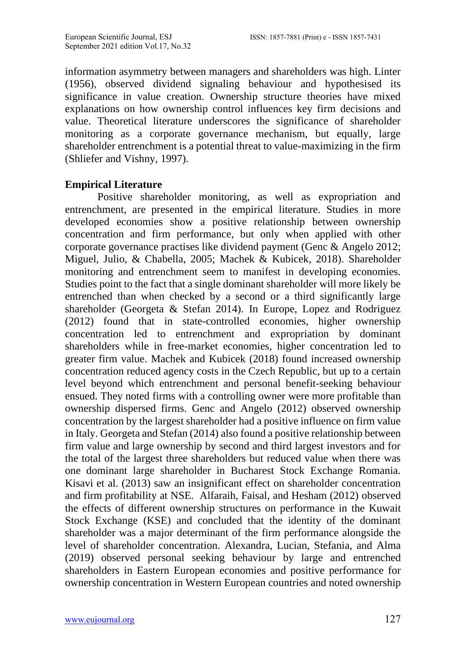information asymmetry between managers and shareholders was high. Linter (1956), observed dividend signaling behaviour and hypothesised its significance in value creation. Ownership structure theories have mixed explanations on how ownership control influences key firm decisions and value. Theoretical literature underscores the significance of shareholder monitoring as a corporate governance mechanism, but equally, large shareholder entrenchment is a potential threat to value-maximizing in the firm (Shliefer and Vishny, 1997).

# **Empirical Literature**

Positive shareholder monitoring, as well as expropriation and entrenchment, are presented in the empirical literature. Studies in more developed economies show a positive relationship between ownership concentration and firm performance, but only when applied with other corporate governance practises like dividend payment (Genc & Angelo 2012; Miguel, Julio, & Chabella, 2005; Machek & Kubicek, 2018). Shareholder monitoring and entrenchment seem to manifest in developing economies. Studies point to the fact that a single dominant shareholder will more likely be entrenched than when checked by a second or a third significantly large shareholder (Georgeta & Stefan 2014). In Europe, Lopez and Rodriguez (2012) found that in state-controlled economies, higher ownership concentration led to entrenchment and expropriation by dominant shareholders while in free-market economies, higher concentration led to greater firm value. Machek and Kubicek (2018) found increased ownership concentration reduced agency costs in the Czech Republic, but up to a certain level beyond which entrenchment and personal benefit-seeking behaviour ensued. They noted firms with a controlling owner were more profitable than ownership dispersed firms. Genc and Angelo (2012) observed ownership concentration by the largest shareholder had a positive influence on firm value in Italy. Georgeta and Stefan (2014) also found a positive relationship between firm value and large ownership by second and third largest investors and for the total of the largest three shareholders but reduced value when there was one dominant large shareholder in Bucharest Stock Exchange Romania. Kisavi et al. (2013) saw an insignificant effect on shareholder concentration and firm profitability at NSE. Alfaraih, Faisal, and Hesham (2012) observed the effects of different ownership structures on performance in the Kuwait Stock Exchange (KSE) and concluded that the identity of the dominant shareholder was a major determinant of the firm performance alongside the level of shareholder concentration. Alexandra, Lucian, Stefania, and Alma (2019) observed personal seeking behaviour by large and entrenched shareholders in Eastern European economies and positive performance for ownership concentration in Western European countries and noted ownership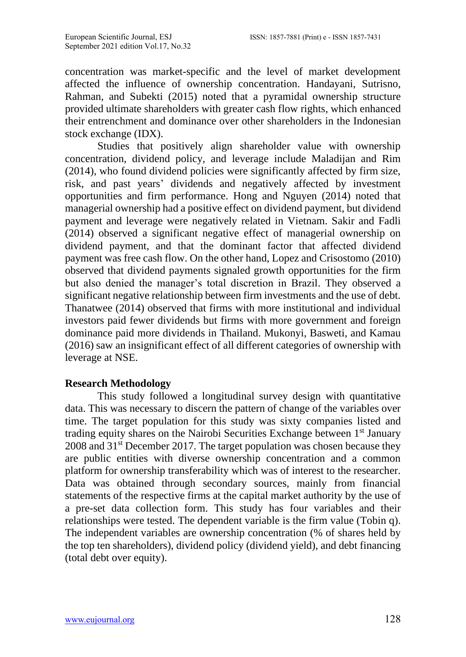concentration was market-specific and the level of market development affected the influence of ownership concentration. Handayani, Sutrisno, Rahman, and Subekti (2015) noted that a pyramidal ownership structure provided ultimate shareholders with greater cash flow rights, which enhanced their entrenchment and dominance over other shareholders in the Indonesian stock exchange (IDX).

Studies that positively align shareholder value with ownership concentration, dividend policy, and leverage include Maladijan and Rim (2014), who found dividend policies were significantly affected by firm size, risk, and past years' dividends and negatively affected by investment opportunities and firm performance. Hong and Nguyen (2014) noted that managerial ownership had a positive effect on dividend payment, but dividend payment and leverage were negatively related in Vietnam. Sakir and Fadli (2014) observed a significant negative effect of managerial ownership on dividend payment, and that the dominant factor that affected dividend payment was free cash flow. On the other hand, Lopez and Crisostomo (2010) observed that dividend payments signaled growth opportunities for the firm but also denied the manager's total discretion in Brazil. They observed a significant negative relationship between firm investments and the use of debt. Thanatwee (2014) observed that firms with more institutional and individual investors paid fewer dividends but firms with more government and foreign dominance paid more dividends in Thailand. Mukonyi, Basweti, and Kamau (2016) saw an insignificant effect of all different categories of ownership with leverage at NSE.

### **Research Methodology**

This study followed a longitudinal survey design with quantitative data. This was necessary to discern the pattern of change of the variables over time. The target population for this study was sixty companies listed and trading equity shares on the Nairobi Securities Exchange between 1<sup>st</sup> January 2008 and 31<sup>st</sup> December 2017. The target population was chosen because they are public entities with diverse ownership concentration and a common platform for ownership transferability which was of interest to the researcher. Data was obtained through secondary sources, mainly from financial statements of the respective firms at the capital market authority by the use of a pre-set data collection form. This study has four variables and their relationships were tested. The dependent variable is the firm value (Tobin q). The independent variables are ownership concentration (% of shares held by the top ten shareholders), dividend policy (dividend yield), and debt financing (total debt over equity).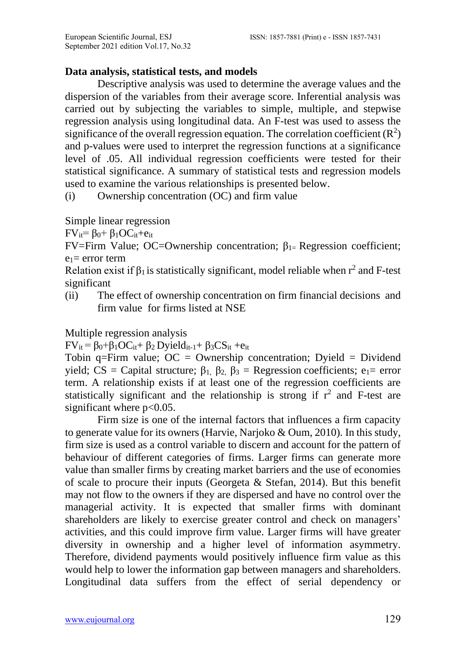# **Data analysis, statistical tests, and models**

Descriptive analysis was used to determine the average values and the dispersion of the variables from their average score. Inferential analysis was carried out by subjecting the variables to simple, multiple, and stepwise regression analysis using longitudinal data. An F-test was used to assess the significance of the overall regression equation. The correlation coefficient  $(R^2)$ and p-values were used to interpret the regression functions at a significance level of .05. All individual regression coefficients were tested for their statistical significance. A summary of statistical tests and regression models used to examine the various relationships is presented below.

(i) Ownership concentration (OC) and firm value

Simple linear regression

 $FV_{it} = \beta_0 + \beta_1OC_{it} + e_{it}$ 

FV=Firm Value; OC=Ownership concentration; β1= Regression coefficient;  $e_1$ = error term

Relation exist if  $\beta_1$  is statistically significant, model reliable when  $r^2$  and F-test significant

(ii) The effect of ownership concentration on firm financial decisions and firm value for firms listed at NSE

# Multiple regression analysis

 $FV_{it} = \beta_0 + \beta_1 OC_{it} + \beta_2 Dyield_{it-1} + \beta_3 CS_{it} + e_{it}$ 

Tobin q=Firm value;  $OC = O$ wnership concentration; Dyield = Dividend yield; CS = Capital structure;  $β_1$ ,  $β_2$ ,  $β_3$  = Regression coefficients; e<sub>1</sub>= error term. A relationship exists if at least one of the regression coefficients are statistically significant and the relationship is strong if  $r^2$  and F-test are significant where  $p<0.05$ .

Firm size is one of the internal factors that influences a firm capacity to generate value for its owners (Harvie, Narjoko & Oum, 2010). In this study, firm size is used as a control variable to discern and account for the pattern of behaviour of different categories of firms. Larger firms can generate more value than smaller firms by creating market barriers and the use of economies of scale to procure their inputs (Georgeta & Stefan, 2014). But this benefit may not flow to the owners if they are dispersed and have no control over the managerial activity. It is expected that smaller firms with dominant shareholders are likely to exercise greater control and check on managers' activities, and this could improve firm value. Larger firms will have greater diversity in ownership and a higher level of information asymmetry. Therefore, dividend payments would positively influence firm value as this would help to lower the information gap between managers and shareholders. Longitudinal data suffers from the effect of serial dependency or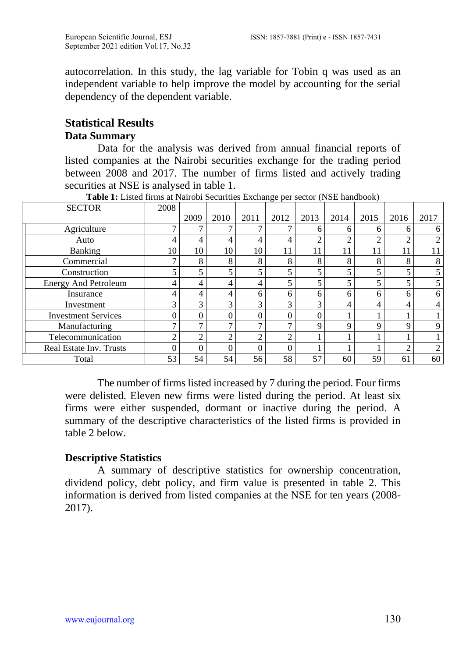autocorrelation. In this study, the lag variable for Tobin q was used as an independent variable to help improve the model by accounting for the serial dependency of the dependent variable.

# **Statistical Results Data Summary**

Data for the analysis was derived from annual financial reports of listed companies at the Nairobi securities exchange for the trading period between 2008 and 2017. The number of firms listed and actively trading securities at NSE is analysed in table 1.

| <b>SECTOR</b>               | 2008 |      |      |          |      |      |      |      |                         |                |
|-----------------------------|------|------|------|----------|------|------|------|------|-------------------------|----------------|
|                             |      | 2009 | 2010 | 2011     | 2012 | 2013 | 2014 | 2015 | 2016                    | 2017           |
| Agriculture                 |      | ⇁    |      | ⇁        |      | 6    | 6    | 6    | 6                       | 6              |
| Auto                        |      | 4    |      | 4        | 4    | ◠    | ◠    | ◠    | ◠                       | $\overline{2}$ |
| Banking                     | 10   | 10   | 10   | 10       |      | 11   |      |      | 11                      | 11             |
| Commercial                  |      | 8    | 8    | 8        | 8    | 8    | 8    | 8    | 8                       | 8              |
| Construction                |      |      |      | 5        |      |      | 5    |      | 5                       |                |
| <b>Energy And Petroleum</b> | 4    | 4    |      | 4        | 5    |      | 5    |      | $\overline{\mathbf{5}}$ |                |
| Insurance                   | 4    | 4    |      | 6        | 6    | 6    | 6    | 6    | 6                       | 6              |
| Investment                  | 3    | 3    | 3    | 3        | 3    | 3    | 4    | 4    | 4                       | 4              |
| <b>Investment Services</b>  |      | 0    |      | $\Omega$ |      | 0    |      |      |                         |                |
| Manufacturing               |      | ⇁    |      | 7        |      | Q    | Q    | Q    | Q                       | Q              |
| Telecommunication           |      | ◠    |      | 2        | ⌒    |      |      |      |                         |                |
| Real Estate Inv. Trusts     |      | 0    |      | 0        |      |      |      |      | ◠                       | ↑              |
| Total                       | 53   | 54   | 54   | 56       | 58   | 57   | 60   | 59   | 61                      | 60             |

**Table 1:** Listed firms at Nairobi Securities Exchange per sector (NSE handbook)

The number of firms listed increased by 7 during the period. Four firms were delisted. Eleven new firms were listed during the period. At least six firms were either suspended, dormant or inactive during the period. A summary of the descriptive characteristics of the listed firms is provided in table 2 below.

# **Descriptive Statistics**

A summary of descriptive statistics for ownership concentration, dividend policy, debt policy, and firm value is presented in table 2. This information is derived from listed companies at the NSE for ten years (2008- 2017).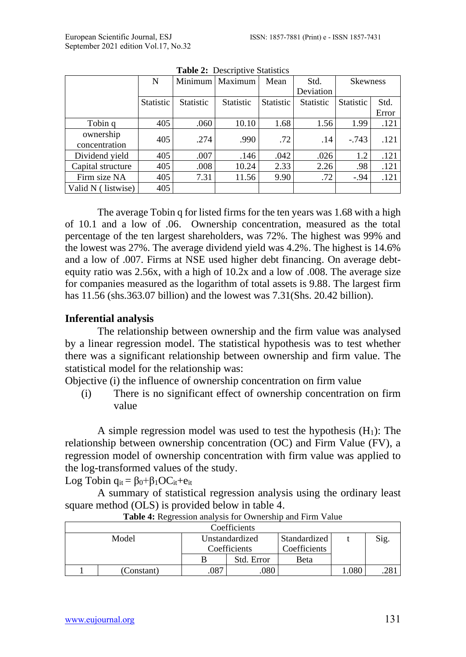|                            | N         |                  | Minimum   Maximum | Mean             | Std.             | <b>Skewness</b>  |       |
|----------------------------|-----------|------------------|-------------------|------------------|------------------|------------------|-------|
|                            |           |                  |                   |                  | Deviation        |                  |       |
|                            | Statistic | <b>Statistic</b> | <b>Statistic</b>  | <b>Statistic</b> | <b>Statistic</b> | <b>Statistic</b> | Std.  |
|                            |           |                  |                   |                  |                  |                  | Error |
| Tobin q                    | 405       | .060             | 10.10             | 1.68             | 1.56             | 1.99             | .121  |
| ownership<br>concentration | 405       | .274             | .990              | .72              | .14              | $-.743$          | .121  |
| Dividend yield             | 405       | .007             | .146              | .042             | .026             | 1.2              | .121  |
| Capital structure          | 405       | .008             | 10.24             | 2.33             | 2.26             | .98              | .121  |
| Firm size NA               | 405       | 7.31             | 11.56             | 9.90             | .72              | $-.94$           | .121  |
| Valid N (<br>listwise)     | 405       |                  |                   |                  |                  |                  |       |

**Table 2: Descriptive Statistics** 

The average Tobin q for listed firms for the ten years was 1.68 with a high of 10.1 and a low of .06. Ownership concentration, measured as the total percentage of the ten largest shareholders, was 72%. The highest was 99% and the lowest was 27%. The average dividend yield was 4.2%. The highest is 14.6% and a low of .007. Firms at NSE used higher debt financing. On average debtequity ratio was 2.56x, with a high of 10.2x and a low of .008. The average size for companies measured as the logarithm of total assets is 9.88. The largest firm has 11.56 (shs.363.07 billion) and the lowest was 7.31(Shs. 20.42 billion).

### **Inferential analysis**

The relationship between ownership and the firm value was analysed by a linear regression model. The statistical hypothesis was to test whether there was a significant relationship between ownership and firm value. The statistical model for the relationship was:

Objective (i) the influence of ownership concentration on firm value

(i) There is no significant effect of ownership concentration on firm value

A simple regression model was used to test the hypothesis  $(H_1)$ : The relationship between ownership concentration (OC) and Firm Value (FV), a regression model of ownership concentration with firm value was applied to the log-transformed values of the study.

Log Tobin  $q_{it} = \beta_0 + \beta_1 OC_{it} + e_{it}$ 

A summary of statistical regression analysis using the ordinary least square method (OLS) is provided below in table 4.

|       | Coefficients |                |            |              |      |      |  |  |  |
|-------|--------------|----------------|------------|--------------|------|------|--|--|--|
| Model |              | Unstandardized |            | Standardized |      | Sig. |  |  |  |
|       |              | Coefficients   |            | Coefficients |      |      |  |  |  |
|       |              |                | Std. Error | Beta         |      |      |  |  |  |
|       | (Constant)   | .087           | .080       |              | .080 |      |  |  |  |

**Table 4:** Regression analysis for Ownership and Firm Value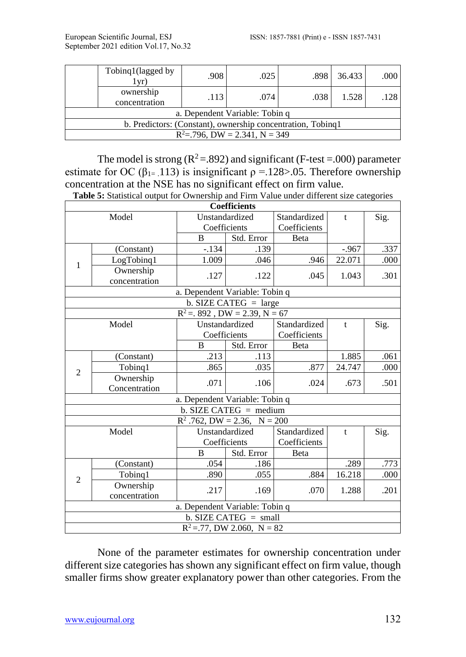| Tobinq1(lagged by<br>(vr)                                   | .908 | .025                           | .898 | 36.433 | .000 |  |  |  |  |
|-------------------------------------------------------------|------|--------------------------------|------|--------|------|--|--|--|--|
| ownership<br>concentration                                  | .113 | .074                           | .038 | 1.528  | 128  |  |  |  |  |
|                                                             |      | a. Dependent Variable: Tobin q |      |        |      |  |  |  |  |
| b. Predictors: (Constant), ownership concentration, Tobinq1 |      |                                |      |        |      |  |  |  |  |
| $R^2 = 0.796$ , DW = 2.341, N = 349                         |      |                                |      |        |      |  |  |  |  |

The model is strong  $(R^2 = .892)$  and significant (F-test = 0.00) parameter estimate for OC ( $\beta_{1}$ = .113) is insignificant  $\rho = 128$  > 05. Therefore ownership concentration at the NSE has no significant effect on firm value.

|  | <b>Table 5:</b> Statistical output for Ownership and Firm Value under different size categories |
|--|-------------------------------------------------------------------------------------------------|
|  |                                                                                                 |

|                |               |                                   | Coefficients                  |              |              |      |
|----------------|---------------|-----------------------------------|-------------------------------|--------------|--------------|------|
|                | Model         |                                   | Unstandardized                | Standardized | t            | Sig. |
|                |               |                                   | Coefficients                  | Coefficients |              |      |
|                |               | B                                 | Std. Error                    | Beta         |              |      |
|                | (Constant)    | $-.134$                           | .139                          |              | $-.967$      | .337 |
| 1              | LogTobinq1    | 1.009                             | .046                          | .946         | 22.071       | .000 |
|                | Ownership     | .127                              | .122                          | .045         | 1.043        | .301 |
|                | concentration |                                   |                               |              |              |      |
|                |               | a. Dependent Variable: Tobin q    |                               |              |              |      |
|                |               |                                   | b. SIZE CATEG $=$ large       |              |              |      |
|                |               | $R^2 = 0.892$ , DW = 2.39, N = 67 |                               |              |              |      |
|                | Model         |                                   | Unstandardized                | Standardized | $\mathbf{t}$ | Sig. |
|                |               |                                   | Coefficients                  | Coefficients |              |      |
|                |               | B                                 | Std. Error                    | Beta         |              |      |
|                | (Constant)    | .213                              | .113                          |              | 1.885        | .061 |
| $\overline{2}$ | Tobing1       | .865                              | .035                          | .877         | 24.747       | .000 |
|                | Ownership     | .071                              | .106                          | .024         | .673         | .501 |
|                | Concentration |                                   |                               |              |              |      |
|                |               | a. Dependent Variable: Tobin q    |                               |              |              |      |
|                |               |                                   | b. SIZE CATEG = medium        |              |              |      |
|                |               | $R^2$ .762, DW = 2.36, N = 200    |                               |              |              |      |
|                | Model         |                                   | Unstandardized                | Standardized | t            | Sig. |
|                |               |                                   | Coefficients                  | Coefficients |              |      |
|                |               | <sub>B</sub>                      | Std. Error                    | Beta         |              |      |
|                | (Constant)    | .054                              | .186                          |              | .289         | .773 |
| 2              | Tobing1       | .890                              | .055                          | .884         | 16.218       | .000 |
|                | Ownership     | .217                              | .169                          | .070         | 1.288        | .201 |
|                | concentration |                                   |                               |              |              |      |
|                |               | a. Dependent Variable: Tobin q    |                               |              |              |      |
|                |               |                                   | $b.$ SIZE CATEG = small       |              |              |      |
|                |               |                                   | $R^2 = 77$ , DW 2.060, N = 82 |              |              |      |

None of the parameter estimates for ownership concentration under different size categories has shown any significant effect on firm value, though smaller firms show greater explanatory power than other categories. From the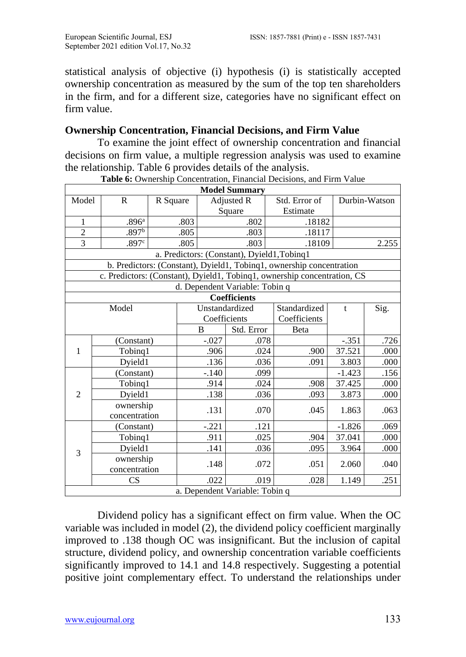statistical analysis of objective (i) hypothesis (i) is statistically accepted ownership concentration as measured by the sum of the top ten shareholders in the firm, and for a different size, categories have no significant effect on firm value.

### **Ownership Concentration, Financial Decisions, and Firm Value**

To examine the joint effect of ownership concentration and financial decisions on firm value, a multiple regression analysis was used to examine the relationship. Table 6 provides details of the analysis.

|                |                            |          |         | <b>Model Summary</b>           |                                                                          |          |               |
|----------------|----------------------------|----------|---------|--------------------------------|--------------------------------------------------------------------------|----------|---------------|
| Model          | R                          | R Square |         | Adjusted R                     | Std. Error of                                                            |          | Durbin-Watson |
|                |                            |          |         | Square                         | Estimate                                                                 |          |               |
| 1              | .896 <sup>a</sup>          | .803     |         | .802                           | .18182                                                                   |          |               |
| $\overline{c}$ | .897 <sup>b</sup>          | .805     |         | .803                           | .18117                                                                   |          |               |
| $\overline{3}$ | .897c                      | .805     |         | .803                           | .18109                                                                   |          | 2.255         |
|                |                            |          |         |                                | a. Predictors: (Constant), Dyield1, Tobinq1                              |          |               |
|                |                            |          |         |                                | b. Predictors: (Constant), Dyield1, Tobinq1, ownership concentration     |          |               |
|                |                            |          |         |                                | c. Predictors: (Constant), Dyield1, Tobinq1, ownership concentration, CS |          |               |
|                |                            |          |         | d. Dependent Variable: Tobin q |                                                                          |          |               |
|                |                            |          |         | <b>Coefficients</b>            |                                                                          |          |               |
|                | Model                      |          |         | Unstandardized                 | Standardized                                                             | t        | Sig.          |
|                |                            |          |         | Coefficients                   | Coefficients                                                             |          |               |
|                |                            |          | B       | Std. Error                     | Beta                                                                     |          |               |
|                | (Constant)                 |          | $-.027$ | .078                           |                                                                          | $-.351$  | .726          |
| 1              | Tobing1                    |          | .906    | .024                           | .900                                                                     | 37.521   | .000          |
|                | Dyield1                    |          | .136    | .036                           | .091                                                                     | 3.803    | .000          |
|                | (Constant)                 |          | $-.140$ | .099                           |                                                                          | $-1.423$ | .156          |
|                | Tobinq1                    |          | .914    | .024                           | .908                                                                     | 37.425   | .000          |
| $\overline{2}$ | Dyield1                    |          | .138    | .036                           | .093                                                                     | 3.873    | .000          |
|                | ownership<br>concentration |          | .131    | .070                           | .045                                                                     | 1.863    | .063          |
|                | (Constant)                 |          | $-.221$ | .121                           |                                                                          | $-1.826$ | .069          |
|                | Tobinq1                    |          | .911    | .025                           | .904                                                                     | 37.041   | .000          |
| 3              | Dyield1                    |          | .141    | .036                           | .095                                                                     | 3.964    | .000          |
|                | ownership<br>concentration |          | .148    | .072                           | .051                                                                     | 2.060    | .040          |
|                | CS                         |          | .022    | .019                           | .028                                                                     | 1.149    | .251          |
|                |                            |          |         | a. Dependent Variable: Tobin q |                                                                          |          |               |

**Table 6:** Ownership Concentration, Financial Decisions, and Firm Value

Dividend policy has a significant effect on firm value. When the OC variable was included in model  $(2)$ , the dividend policy coefficient marginally improved to .138 though OC was insignificant. But the inclusion of capital structure, dividend policy, and ownership concentration variable coefficients significantly improved to 14.1 and 14.8 respectively. Suggesting a potential positive joint complementary effect. To understand the relationships under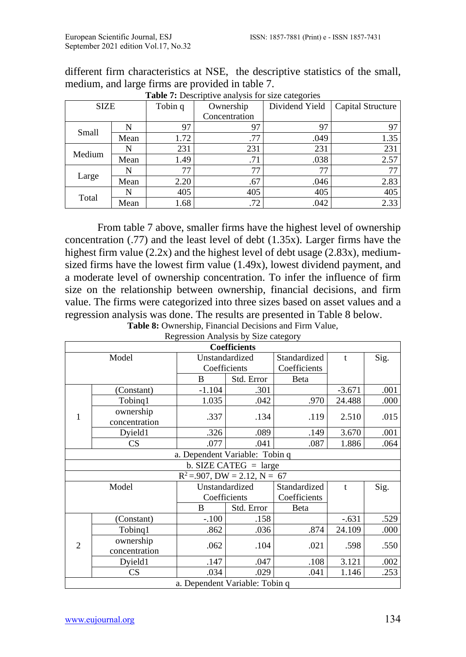| <b>SIZE</b> |      | Tobin q | Ownership     | Dividend Yield | Capital Structure |
|-------------|------|---------|---------------|----------------|-------------------|
|             |      |         | Concentration |                |                   |
| Small       | N    | 97      | 97            | 97             | 97                |
|             | Mean | 1.72    | .77           | .049           | 1.35              |
| Medium      |      | 231     | 231           | 231            | 231               |
|             | Mean | 1.49    | .71           | .038           | 2.57              |
|             | N    | 77      | 77            | 77             |                   |
| Large       | Mean | 2.20    | .67           | .046           | 2.83              |
| Total       | N    | 405     | 405           | 405            | 405               |
|             | Mean | 1.68    | .72           | .042           | 2.33              |

different firm characteristics at NSE, the descriptive statistics of the small, medium, and large firms are provided in table 7.

**Table 7:** Descriptive analysis for size categories

From table 7 above, smaller firms have the highest level of ownership concentration (.77) and the least level of debt (1.35x). Larger firms have the highest firm value (2.2x) and the highest level of debt usage (2.83x), mediumsized firms have the lowest firm value (1.49x), lowest dividend payment, and a moderate level of ownership concentration. To infer the influence of firm size on the relationship between ownership, financial decisions, and firm value. The firms were categorized into three sizes based on asset values and a regression analysis was done. The results are presented in Table 8 below. **Table 8:** Ownership, Financial Decisions and Firm Value,

| Regression Analysis by Size category |  |
|--------------------------------------|--|
|                                      |  |
|                                      |  |
|                                      |  |

|                |                            |                                   | <b>Coefficients</b>     |              |          |      |
|----------------|----------------------------|-----------------------------------|-------------------------|--------------|----------|------|
|                | Model                      |                                   | Unstandardized          |              | t        | Sig. |
|                |                            | Coefficients                      |                         | Coefficients |          |      |
|                |                            | B                                 | Std. Error              | Beta         |          |      |
|                | (Constant)                 | $-1.104$                          | .301                    |              | $-3.671$ | .001 |
|                | Tobing1                    | 1.035                             | .042                    | .970         | 24.488   | .000 |
| 1              | ownership<br>concentration | .337                              | .134                    | .119         | 2.510    | .015 |
|                | Dyield1                    | .326                              | .089                    | .149         | 3.670    | .001 |
|                | CS                         | .077                              | .041                    | .087         | 1.886    | .064 |
|                |                            | a. Dependent Variable: Tobin q    |                         |              |          |      |
|                |                            |                                   | b. SIZE CATEG $=$ large |              |          |      |
|                |                            | $R^2 = 0.907$ , DW = 2.12, N = 67 |                         |              |          |      |
|                | Model                      |                                   | Unstandardized          | Standardized | t        | Sig. |
|                |                            |                                   | Coefficients            | Coefficients |          |      |
|                |                            | B                                 | Std. Error              | Beta         |          |      |
|                | (Constant)                 | $-.100$                           | .158                    |              | $-.631$  | .529 |
|                | Tobinq1                    | .862                              | .036                    | .874         | 24.109   | .000 |
| $\overline{2}$ | ownership<br>concentration | .062                              | .104                    | .021         | .598     | .550 |
|                | Dyield1                    | .147                              | .047                    | .108         | 3.121    | .002 |
|                | CS                         | .034                              | .029                    | .041         | 1.146    | .253 |
|                |                            | a. Dependent Variable: Tobin q    |                         |              |          |      |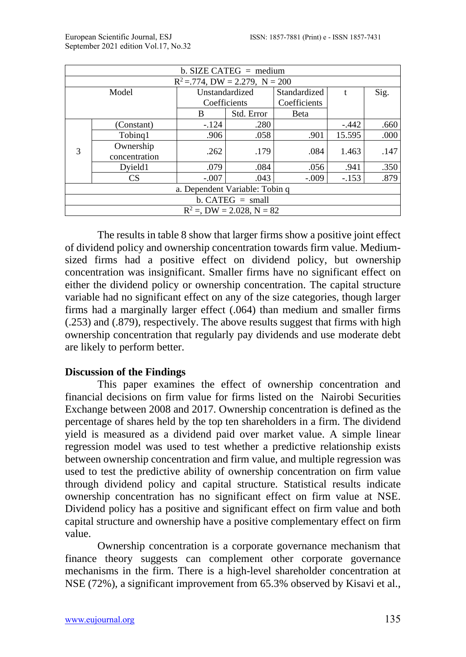|   | b. SIZE CATEG $=$ medium          |                                |                              |              |              |      |  |  |  |
|---|-----------------------------------|--------------------------------|------------------------------|--------------|--------------|------|--|--|--|
|   | $R^2 = 774$ , DW = 2.279, N = 200 |                                |                              |              |              |      |  |  |  |
|   | Model                             | Unstandardized                 |                              | Standardized | $\mathbf{f}$ | Sig. |  |  |  |
|   |                                   | Coefficients                   |                              | Coefficients |              |      |  |  |  |
|   |                                   | B                              | Std. Error                   | Beta         |              |      |  |  |  |
|   | (Constant)                        | $-.124$                        | .280                         |              | $-.442$      | .660 |  |  |  |
|   | Tobing1                           | .906                           | .058                         | .901         | 15.595       | .000 |  |  |  |
| 3 | Ownership                         | .262                           | .179                         | .084         | 1.463        | .147 |  |  |  |
|   | concentration                     |                                |                              |              |              |      |  |  |  |
|   | Dvield1                           | .079                           | .084                         | .056         | .941         | .350 |  |  |  |
|   | <b>CS</b>                         | $-.007$                        | .043                         | $-.009$      | $-.153$      | .879 |  |  |  |
|   |                                   | a. Dependent Variable: Tobin q |                              |              |              |      |  |  |  |
|   |                                   |                                | $b. CATEG = small$           |              |              |      |  |  |  |
|   |                                   |                                | $R^2 =$ , DW = 2.028, N = 82 |              |              |      |  |  |  |

The results in table 8 show that larger firms show a positive joint effect of dividend policy and ownership concentration towards firm value. Mediumsized firms had a positive effect on dividend policy, but ownership concentration was insignificant. Smaller firms have no significant effect on either the dividend policy or ownership concentration. The capital structure variable had no significant effect on any of the size categories, though larger firms had a marginally larger effect (.064) than medium and smaller firms (.253) and (.879), respectively. The above results suggest that firms with high ownership concentration that regularly pay dividends and use moderate debt are likely to perform better.

### **Discussion of the Findings**

This paper examines the effect of ownership concentration and financial decisions on firm value for firms listed on the Nairobi Securities Exchange between 2008 and 2017. Ownership concentration is defined as the percentage of shares held by the top ten shareholders in a firm. The dividend yield is measured as a dividend paid over market value. A simple linear regression model was used to test whether a predictive relationship exists between ownership concentration and firm value, and multiple regression was used to test the predictive ability of ownership concentration on firm value through dividend policy and capital structure. Statistical results indicate ownership concentration has no significant effect on firm value at NSE. Dividend policy has a positive and significant effect on firm value and both capital structure and ownership have a positive complementary effect on firm value.

Ownership concentration is a corporate governance mechanism that finance theory suggests can complement other corporate governance mechanisms in the firm. There is a high-level shareholder concentration at NSE (72%), a significant improvement from 65.3% observed by Kisavi et al.,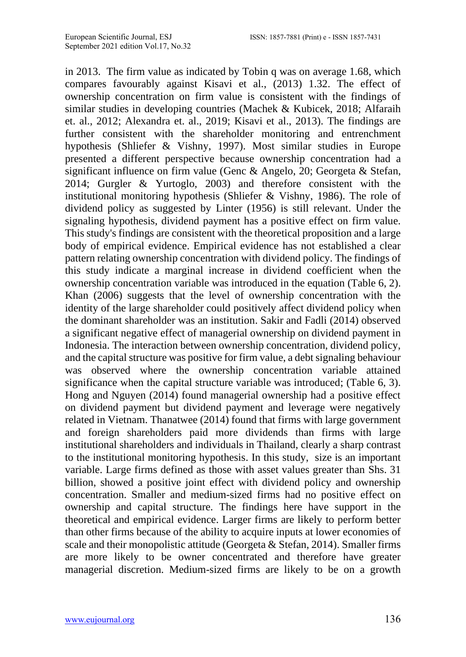in 2013. The firm value as indicated by Tobin q was on average 1.68, which compares favourably against Kisavi et al., (2013) 1.32. The effect of ownership concentration on firm value is consistent with the findings of similar studies in developing countries (Machek & Kubicek, 2018; Alfaraih et. al., 2012; Alexandra et. al., 2019; Kisavi et al., 2013). The findings are further consistent with the shareholder monitoring and entrenchment hypothesis (Shliefer & Vishny, 1997). Most similar studies in Europe presented a different perspective because ownership concentration had a significant influence on firm value (Genc & Angelo, 20; Georgeta & Stefan, 2014; Gurgler & Yurtoglo, 2003) and therefore consistent with the institutional monitoring hypothesis (Shliefer & Vishny, 1986). The role of dividend policy as suggested by Linter (1956) is still relevant. Under the signaling hypothesis, dividend payment has a positive effect on firm value. This study's findings are consistent with the theoretical proposition and a large body of empirical evidence. Empirical evidence has not established a clear pattern relating ownership concentration with dividend policy. The findings of this study indicate a marginal increase in dividend coefficient when the ownership concentration variable was introduced in the equation (Table 6, 2). Khan (2006) suggests that the level of ownership concentration with the identity of the large shareholder could positively affect dividend policy when the dominant shareholder was an institution. Sakir and Fadli (2014) observed a significant negative effect of managerial ownership on dividend payment in Indonesia. The interaction between ownership concentration, dividend policy, and the capital structure was positive for firm value, a debt signaling behaviour was observed where the ownership concentration variable attained significance when the capital structure variable was introduced; (Table 6, 3). Hong and Nguyen (2014) found managerial ownership had a positive effect on dividend payment but dividend payment and leverage were negatively related in Vietnam. Thanatwee (2014) found that firms with large government and foreign shareholders paid more dividends than firms with large institutional shareholders and individuals in Thailand, clearly a sharp contrast to the institutional monitoring hypothesis. In this study, size is an important variable. Large firms defined as those with asset values greater than Shs. 31 billion, showed a positive joint effect with dividend policy and ownership concentration. Smaller and medium-sized firms had no positive effect on ownership and capital structure. The findings here have support in the theoretical and empirical evidence. Larger firms are likely to perform better than other firms because of the ability to acquire inputs at lower economies of scale and their monopolistic attitude (Georgeta & Stefan, 2014). Smaller firms are more likely to be owner concentrated and therefore have greater managerial discretion. Medium-sized firms are likely to be on a growth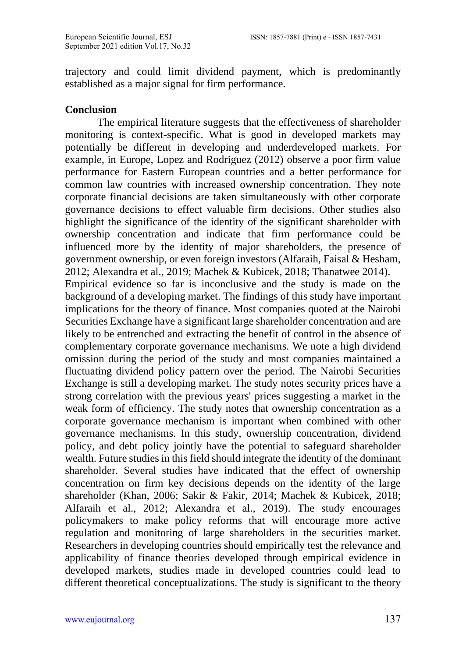trajectory and could limit dividend payment, which is predominantly established as a major signal for firm performance.

### **Conclusion**

The empirical literature suggests that the effectiveness of shareholder monitoring is context-specific. What is good in developed markets may potentially be different in developing and underdeveloped markets. For example, in Europe, Lopez and Rodriguez (2012) observe a poor firm value performance for Eastern European countries and a better performance for common law countries with increased ownership concentration. They note corporate financial decisions are taken simultaneously with other corporate governance decisions to effect valuable firm decisions. Other studies also highlight the significance of the identity of the significant shareholder with ownership concentration and indicate that firm performance could be influenced more by the identity of major shareholders, the presence of government ownership, or even foreign investors (Alfaraih, Faisal & Hesham, 2012; Alexandra et al., 2019; Machek & Kubicek, 2018; Thanatwee 2014). Empirical evidence so far is inconclusive and the study is made on the background of a developing market. The findings of this study have important implications for the theory of finance. Most companies quoted at the Nairobi Securities Exchange have a significant large shareholder concentration and are likely to be entrenched and extracting the benefit of control in the absence of complementary corporate governance mechanisms. We note a high dividend omission during the period of the study and most companies maintained a fluctuating dividend policy pattern over the period. The Nairobi Securities Exchange is still a developing market. The study notes security prices have a strong correlation with the previous years' prices suggesting a market in the weak form of efficiency. The study notes that ownership concentration as a corporate governance mechanism is important when combined with other governance mechanisms. In this study, ownership concentration, dividend policy, and debt policy jointly have the potential to safeguard shareholder wealth. Future studies in this field should integrate the identity of the dominant shareholder. Several studies have indicated that the effect of ownership concentration on firm key decisions depends on the identity of the large shareholder (Khan, 2006; Sakir & Fakir, 2014; Machek & Kubicek, 2018; Alfaraih et al., 2012; Alexandra et al., 2019). The study encourages policymakers to make policy reforms that will encourage more active regulation and monitoring of large shareholders in the securities market. Researchers in developing countries should empirically test the relevance and applicability of finance theories developed through empirical evidence in developed markets, studies made in developed countries could lead to different theoretical conceptualizations. The study is significant to the theory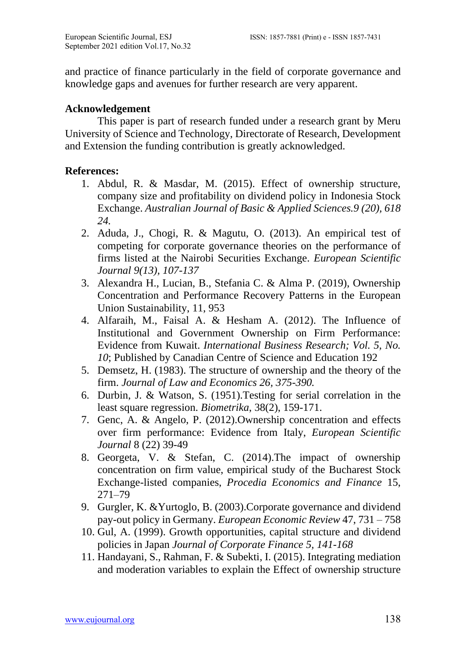and practice of finance particularly in the field of corporate governance and knowledge gaps and avenues for further research are very apparent.

### **Acknowledgement**

This paper is part of research funded under a research grant by Meru University of Science and Technology, Directorate of Research, Development and Extension the funding contribution is greatly acknowledged.

# **References:**

- 1. Abdul, R. & Masdar, M. (2015). Effect of ownership structure, company size and profitability on dividend policy in Indonesia Stock Exchange. *Australian Journal of Basic & Applied Sciences.9 (20), 618 24.*
- 2. Aduda, J., Chogi, R. & Magutu, O. (2013). An empirical test of competing for corporate governance theories on the performance of firms listed at the Nairobi Securities Exchange. *European Scientific Journal 9(13), 107-137*
- 3. Alexandra H., Lucian, B., Stefania C. & Alma P. (2019), Ownership Concentration and Performance Recovery Patterns in the European Union Sustainability, 11, 953
- 4. Alfaraih, M., Faisal A. & Hesham A. (2012). The Influence of Institutional and Government Ownership on Firm Performance: Evidence from Kuwait. *International Business Research; Vol. 5, No. 10*; Published by Canadian Centre of Science and Education 192
- 5. Demsetz, H. (1983). The structure of ownership and the theory of the firm. *Journal of Law and Economics 26, 375-390.*
- 6. Durbin, J. & Watson, S. (1951).Testing for serial correlation in the least square regression. *Biometrika*, 38(2), 159-171.
- 7. Genc, A. & Angelo, P. (2012).Ownership concentration and effects over firm performance: Evidence from Italy, *European Scientific Journal* 8 (22) 39-49
- 8. Georgeta, V. & Stefan, C. (2014).The impact of ownership concentration on firm value, empirical study of the Bucharest Stock Exchange-listed companies, *Procedia Economics and Finance* 15, 271–79
- 9. Gurgler, K. &Yurtoglo, B. (2003).Corporate governance and dividend pay-out policy in Germany. *European Economic Review* 47, 731 – 758
- 10. Gul, A. (1999). Growth opportunities, capital structure and dividend policies in Japan *Journal of Corporate Finance 5, 141-168*
- 11. Handayani, S., Rahman, F. & Subekti, I. (2015). Integrating mediation and moderation variables to explain the Effect of ownership structure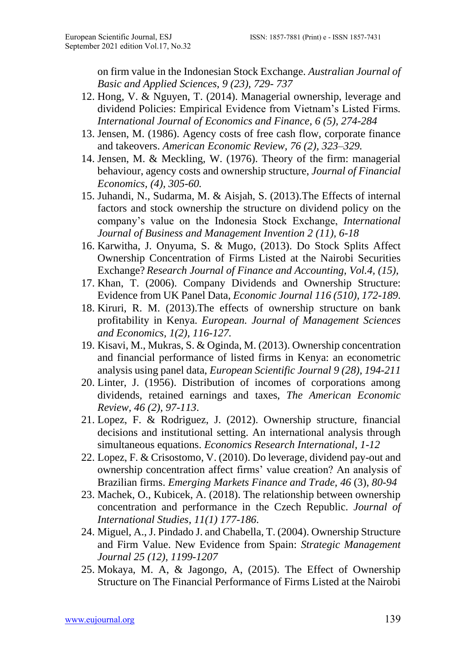on firm value in the Indonesian Stock Exchange. *Australian Journal of Basic and Applied Sciences*, *9 (23), 729- 737*

- 12. Hong, V. & Nguyen, T. (2014). Managerial ownership, leverage and dividend Policies: Empirical Evidence from Vietnam's Listed Firms*. International Journal of Economics and Finance, 6 (5), 274-284*
- 13. Jensen, M. (1986). Agency costs of free cash flow, corporate finance and takeovers. *American Economic Review, 76 (2), 323–329.*
- 14. Jensen, M. & Meckling, W. (1976). Theory of the firm: managerial behaviour, agency costs and ownership structure, *Journal of Financial Economics, (4), 305-60.*
- 15. Juhandi, N., Sudarma, M. & Aisjah, S. (2013).The Effects of internal factors and stock ownership the structure on dividend policy on the company's value on the Indonesia Stock Exchange, *International Journal of Business and Management Invention 2 (11), 6-18*
- 16. Karwitha, J. Onyuma, S. & Mugo, (2013). Do Stock Splits Affect Ownership Concentration of Firms Listed at the Nairobi Securities Exchange? *Research Journal of Finance and Accounting, Vol.4, (15),*
- 17. Khan, T. (2006). Company Dividends and Ownership Structure: Evidence from UK Panel Data, *Economic Journal 116 (510), 172-189*.
- 18. Kiruri, R. M. (2013).The effects of ownership structure on bank profitability in Kenya. *European. Journal of Management Sciences and Economics, 1(2), 116-127.*
- 19. Kisavi, M., Mukras, S. & Oginda, M. (2013). Ownership concentration and financial performance of listed firms in Kenya: an econometric analysis using panel data, *European Scientific Journal 9 (28), 194-211*
- 20. Linter, J. (1956). Distribution of incomes of corporations among dividends, retained earnings and taxes, *The American Economic Review, 46 (2), 97-113*.
- 21. Lopez, F. & Rodriguez, J. (2012). Ownership structure, financial decisions and institutional setting. An international analysis through simultaneous equations. *Economics Research International*, *1-12*
- 22. Lopez, F. & Crisostomo, V. (2010). Do leverage, dividend pay-out and ownership concentration affect firms' value creation? An analysis of Brazilian firms. *Emerging Markets Finance and Trade, 46* (3), *80-94*
- 23. Machek, O., Kubicek, A. (2018). The relationship between ownership concentration and performance in the Czech Republic. *Journal of International Studies*, *11(1) 177-186*.
- 24. Miguel, A., J. Pindado J. and Chabella, T. (2004). Ownership Structure and Firm Value. New Evidence from Spain: *Strategic Management Journal 25 (12), 1199-1207*
- 25. Mokaya, M. A, & Jagongo, A, (2015). The Effect of Ownership Structure on The Financial Performance of Firms Listed at the Nairobi